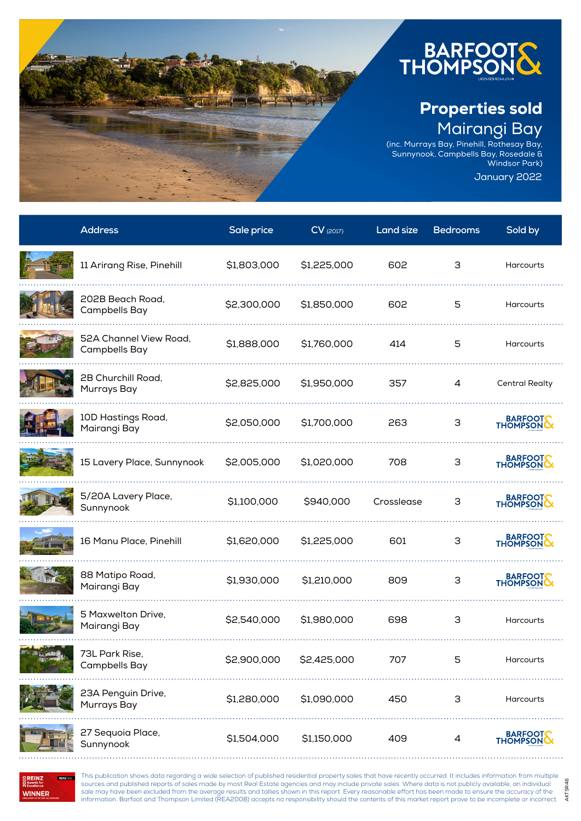

## Properties sold Mairangi Bay

(inc. Murrays Bay, Pinehill, Rothesay Bay, Sunnynook, Campbells Bay, Rosedale & Windsor Park) January 2022

**Address Sale price CV** (2017) **Land size Bedrooms Sold by** 11 Arirang Rise, Pinehill \$1,803,000 \$1,225,000 602 3 Harcourts 202B Beach Road, Campbells Bay \$2,300,000 \$1,850,000 <sup>602</sup> <sup>5</sup> Harcourts 52A Channel View Road, Campbells Bay \$1,888,000 \$1,760,000 <sup>414</sup> <sup>5</sup> Harcourts 2B Churchill Road, LD Charemin Road, \$2,825,000 \$1,950,000 357 4 Central Realty<br>Murrays Bay 10D Hastings Road, BARFOOT Mairangi Bay \$2,050,000 \$1,700,000 <sup>263</sup> <sup>3</sup> BARFOOTS 15 Lavery Place, Sunnynook \$2,005,000 \$1,020,000 708 3 5/20A Lavery Place, BARFOOT Sunnynook \$1,100,000 \$940,000 Crosslease <sup>3</sup> BARFOOT 16 Manu Place, Pinehill \$1,620,000 \$1,225,000 601 3 88 Matipo Road, BARFOOT Mairangi Bay \$1,930,000 \$1,210,000 <sup>809</sup> <sup>3</sup> 5 Maxwelton Drive, o Taxwerton Dirve, \$2,540,000 \$1,980,000 698 3 Harcourts<br>Mairangi Bay 73L Park Rise, Campbells Bay \$2,900,000 \$2,425,000 <sup>707</sup> <sup>5</sup> Harcourts 23A Penguin Drive, Murrays Bay \$1,280,000 \$1,090,000 <sup>450</sup> <sup>3</sup> Harcourts 27 Sequoia Place, BARFOOT Sunnynook \$1,504,000 \$1,150,000 <sup>409</sup> <sup>4</sup>



**WINNER** 

This publication shows data regarding a wide selection of published residential property sales that have recently occurred. It includes information from multiple sources and published reports of sales made by most Real Estate agencies and may include private sales. Where data is not publicly available, an individual sale may have been excluded from the average results and tallies shown in this report. Every reasonable effort has been made to ensure the accuracy of the information. Barfoot and Thompson Limited (REA2008) accepts no responsibility should the contents of this market report prove to be incomplete or incorrect.